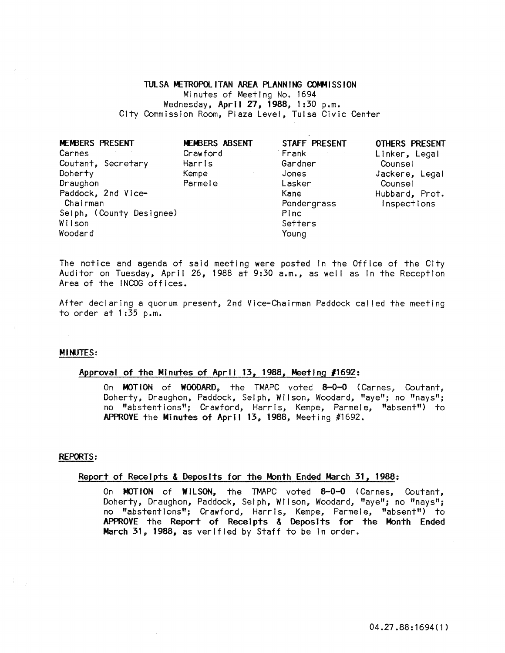### TULSA METROPOLITAN AREA PlANNING COMMISSION

Minutes of Meeting No. 1694 Wednesday, April 27, 1988, 1 :30 p.m. City Commission Room, Plaza Level, Tulsa Civic Center

| MEMBERS PRESENT<br>Carnes | MEMBERS ABSENT<br>Crawford | STAFF PRESENT<br>Frank | <b>OTHERS PRESENT</b><br>Linker, Legal |
|---------------------------|----------------------------|------------------------|----------------------------------------|
| Coutant, Secretary        | Harris                     | Gardner                | Counsel                                |
| Doherty                   | Kempe                      | Jones                  | Jackere, Legal                         |
| Draughon                  | Parmele                    | Lasker                 | Counsel                                |
| Paddock, 2nd Vice-        |                            | Kane                   | Hubbard, Prot.                         |
| Chairman                  |                            | Pendergrass            | Inspections                            |
| Selph, (County Designee)  |                            | Pinc                   |                                        |
| Wilson                    |                            | Setters                |                                        |
| Woodard                   |                            | Young                  |                                        |

The notice and agenda of said meeting were posted In the Office of the City Auditor on Tuesday, April 26, 1988 at 9:30 a.m., as well as in the Reception Area of the INCOG offices.

After declaring a quorum present, 2nd Vice-Chairman Paddock cal led the meeting to order at  $1:35$  p.m.

### MINUTES:

## Approval of the MInutes of April 13, 1988, Meeting *11692:*

On MOTION of WOODARD, the TMAPC voted 8-0-0 (Carnes, Coutant, Doherty, Draughon, Paddock, Selph, Wilson, Woodard, "aye"; no "nays"; no "abstentions"; Crawford, Harris, Kempe, Parmele, "absent") to APPROVE the Minutes of April 13, 1988, Meeting #1692.

#### REPORTS:

#### Report of Receipts & Deposits for the Month Ended March 31, 1988:

On MOTION of WILSON, the TMAPC voted 8-0-0 (Carnes, Coutant, Doherty, Draughon, Paddock, Selph, Wilson, Woodard, "aye"; no "nays"; no "abstentions"; Crawford, Harris, Kempe, Parmele, "absent") to APPROVE the Report of Receipts & Deposits for the Month Ended March 31, 1988, as verified by Staff to be in order.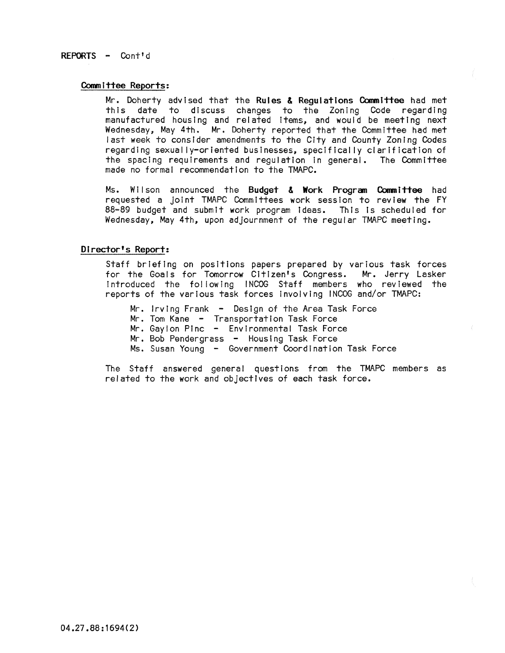# REPORTS - Cont'd

### Committee Reports:

Mr. Doherty advised that the Rules & Regulations Committee had met this date to discuss changes to the Zoning Code regarding manufactured housing and related Items, and would be meeting next Wednesday; May 4th. Mr. Doherty reported that the Committee had met last week to consider amendments to the City and County Zoning Codes regarding sexually-oriented businesses, specifically clarification of the spacing requirements and requiation in general. The Committee made no formal recommendation to the TMAPC.

Ms. Wilson announced the Budget & Work Program Committee had requested a joint TMAPC Committees work session to review the FY<br>88-89 budget and submit work program ideas. This is scheduled for Wednesday, May 4th, upon adjournment of the regular TMAPC meeting.

# Director's Report:

Staff briefing on positions papers prepared by various task forces for the Goals for Tomorrow Citizen's Congress. Mr. Jerry Lasker introduced the fol lowing INCOG Staff members who reviewed the reports of the various task forces Involving INCOG and/or TMAPC:

Mr. Irving Frank - Design of the Area Task Force Mr. Tom Kane - Transportation Task Force Mr. Gaylon Pinc - Environmental Task Force Mr. Bob Pendergrass - Housing Task Force Ms. Susan Young - Government Coordination Task Force

The Staff answered general questions from the TMAPC members as related to the work and objectives of each task force.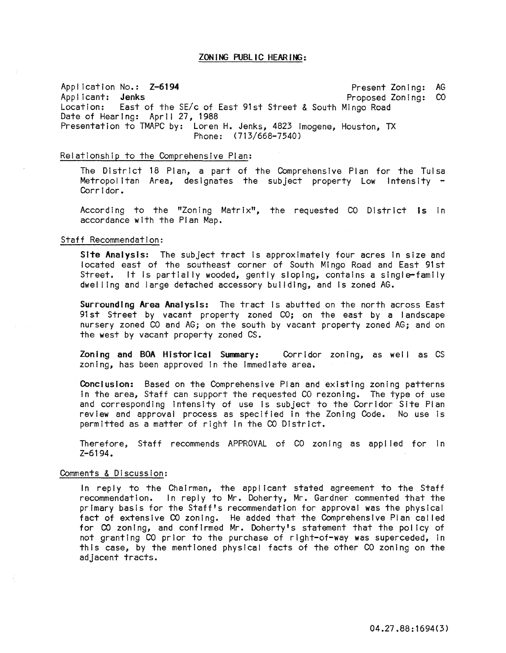#### ZONING PUBLIC HEARING:

Application No.: Z-6194 Present Zoning: AG Present Zoning: AG Present Zoning: AG Present Zoning: CO Applicant: **Jenks**<br>
Location: East of the SE/c of East 91st Street & South Mingo Road East of the SE/c of East 91st Street & South Mingo Road Date of Hearing: April 27, 1988 Presentation to TMAPC by: Loren H. Jenks, 4823 Imogene, Houston, TX Phone: (713/668-7540)

## Relationship to the Comprehensive Plan:

The District 18 Plan, a part of the Comprehensive Plan for the Tulsa Metropolitan Area, designates the subject property Low Intensity –<br>Corridor.

According to the "Zoning Matrix", the requested CO District is In accordance with the Plan Map.

#### Staff Recommendation:

Site Analysis: The subject tract is approximately four acres in size and located east of the southeast corner of South Mingo Road and East 91st Street. It is partially wooded, gently sloping, contains a single-family dwel ling and large detached accessory building, and Is zoned AG.

Surrounding Area Analysis: The tract is abutted on the north across East 91st Street by vacant property zoned CO; on the east by a landscape nursery zoned CO and AG; on the south by vacant property zoned AG; and on the west by vacant property zoned CS.

Zoning and BOA Historical Summary: Corridor zoning, as well as CS zoning, has been approved in the immediate area.

COnclusion: Based on the Comprehensive Plan and existing zoning patterns in the area, Staff can support the requested CO rezoning. The type of use and corresponding intensity of use is subject to the Corridor Site Plan review and approval process as specified In the Zoning Code. No use is permitted as a matter of right In the CO District.

Therefore, Staff recommends APPROVAL of CO zoning as applied for in Z-6194.

#### Comments & Discussion:

In reply to the Chairman, the applicant stated agreement to the Staff recommendation. In reply to Mr. Doherty, Mr. Gardner commented that the primary basis for the Staff's recommendation for approval was the physical fact of extensive CO zoning. He added that the Comprehensive Plan cal led for CO zoning, and confirmed Mr. Doherty's statement that the policy of not granting CO prior to the purchase of right-of-way was superceded, In this case, by the mentioned physical facts of the other CO zoning on the adjacent tracts.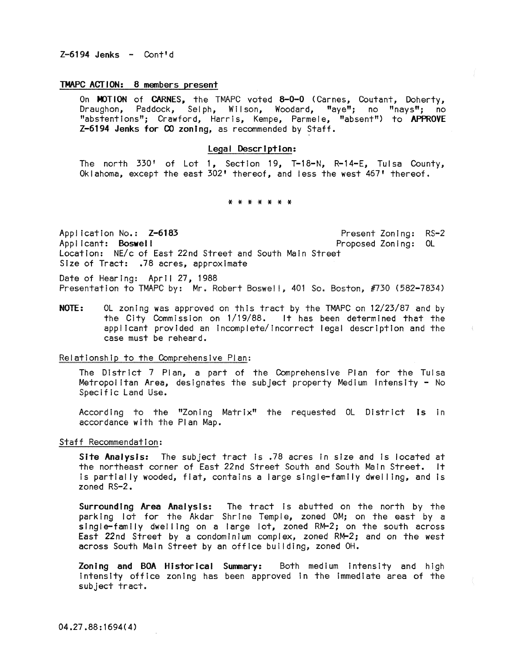# TMAPC ACT ION: 8 members present

On MOTION of CARNES, the TMAPC voted 8-0-0 (Carnes, Coutant, Doherty, Draughon, Paddock, Sel ph, Wi I son, Woodard, "aye"; no "nays"; no "abstentions"; Crawford, Harris, Kempe, Parmele, "absent") to APPROVE Z-6194 Jenks for CO zoning, as recommended by Staff.

## Legal Description:

The north 330' of Lot 1, Section 19, T-18-N, R-14-E, Tulsa County, Oklahoma, except the east 302' thereof, and less the west 467' thereof.

#### \* \* \* \* \* \* \*

Application No.: Z-6183 Applicant: Boswell Present Zoning: RS-2 Proposed Zoning: OL Location: NE/c of East 22nd Street and South Main Street Size of Tract: .78 acres, approximate

Date of Hearing: April 27, 1988 Presentation to TMAPC by: Mr. Robert Boswell, 401 So. Boston, #730 (582-7834)

NOTE: OL zoning was approved on this tract by the TMAPC on 12/23/87 and by the City Commission on 1/19/88. It has been determined that the applicant provided an Incomplete/Incorrect legal description and the case must be reheard.

Relationship to the Comprehensive Plan:

The District 7 Plan, a part of the Comprehensive Plan for the Tulsa Metropolitan Area, designates the subject property Medium intensity - No Specific Land Use.

According to the "Zoning Matrix" the requested OL District Is In accordance with the Plan Map.

Staff Recommendation:

Site Analysis: The subject tract Is .78 acres In size and Is located at the northeast corner of East 22nd Street South and South Main Street. It Is partially wooded, flat, contains a large single-family dwel I ing, and Is zoned RS-2.

Surrounding Area Analysis: The tract Is abutted on the north by the parking lot for the Akdar Shrine Temple, zoned OM; on the east by a single-family dwelling on a large lot, zoned RM-2; on the south across East 22nd Street by a condominium complex, zoned RM-2; and on the west across South Main Street by an office building, zoned OH.

Zoning and BOA Historical Summary: Both medium intensity and high Intensity office zoning has been approved in the immediate area of the subject tract.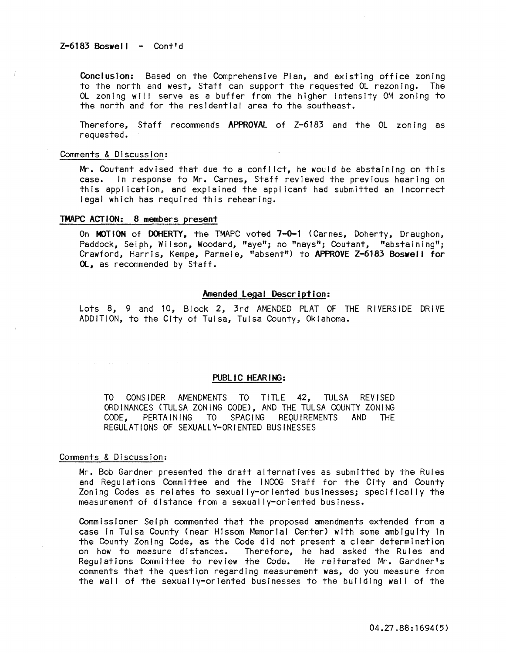Conclusion: Based on the Comprehensive Plan, and existing office zoning to the north and west, Staff can support the requested OL rezoning. The OL zoning will serve as a buffer from the higher intensity OM zoning to the north and for the residential area to the southeast.

Therefore, Staff recommends APPROVAl of Z-6183 and the OL zoning as requested.

#### Comments & Discussion:

Mr. Coutant advised that due to a conflict, he would be abstaining on this case. In response to Mr. Carnes, Staff reviewed the previous hearing on this appl lcation, and explained the applicant had submitted an Incorrect legal which has required this rehearing.

# TMAPC ACTION: 8 members present

On MOTION of DOHERTY, the TMAPC voted 7-0-1 (Carnes, Doherty, Draughon, Paddock, Selph, Wilson, Woodard, "aye"; no "nays"; Coutant, "abstaining"; Crawford, Harris, Kempe, Parmele, "absent") to APPROVE Z-6183 Boswell for Ol. as recommended by Staff.

### Amended Legal Description:

Lots 8, 9 and 10, Block 2, 3rd AMENDED PLAT OF THE RIVERSIDE DRiVE ADDITION, to the City of Tulsa, Tulsa County, Oklahoma.

### PUBL IC HEARING:

TO CONSIDER AMENDMENTS TO TITLE 42, TULSA REVISED ORDINANCES (TULSA ZONING CODE), AND THE TULSA COUNTY ZONING<br>CODE, PERTAINING TO SPACING REQUIREMENTS AND THE CODE, PERTAINING TO SPACING REQUIREMENTS AND THE REGULATIONS OF SEXUALLY-ORIENTED BUSINESSES

#### Comments & Discussion:

Mr. Bob Gardner presented the draft alternatives as submitted by the Rules and Regulations Committee and the INCOG Staff for the City and County Zoning Codes as relates to sexually-oriented businesses; specifically the measurement of distance from a sexually-oriented business.

Commissioner Selph commented that the proposed amendments extended from a case in Tulsa County (near Hissom Memorial Center) with some ambiguity in the County Zoning Code, as the Code did not present a clear determination on how to measure distances. Therefore, he had asked the Rules and Regulations Committee to review the Code. He reiterated Mr. Gardner's comments that the question regarding measurement was, do you measure from the wall of the sexually-oriented businesses to the building wall of the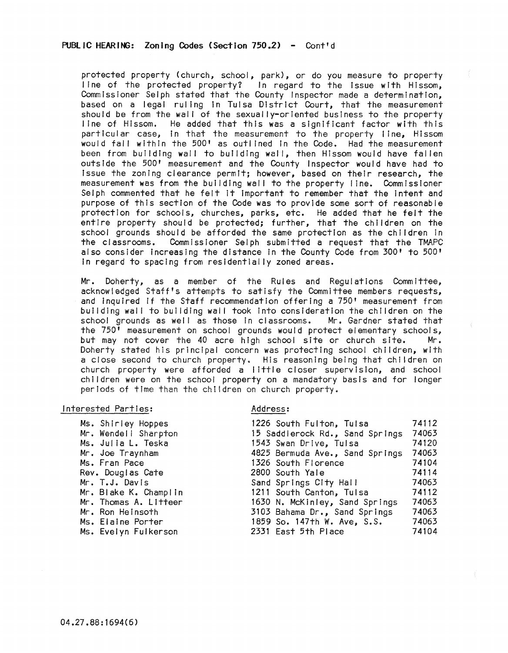protected property (church, school, park), or do you measure to property I ine of the protected property? In regard to the issue with Hissom, Commissioner Selph stated that the County Inspector made a determination, based on a legal ruling in Tulsa District Court, that the measurement should be from the wall of the sexually-oriented business to the property line of Hissom. He added that this was a significant factor with this particular case, in that the measurement to the property line, Hissom would fall within the 500' as outlined in the Code. Had the measurement been from building wall to building wall, then Hissom would have fallen outside the 500' measurement and the County Inspector would have had to Issue the zoning clearance permit; however, based on their research, the measurement was from the building wall to the property line. Commissioner Selph commented that he felt It Important to remember that the Intent and purpose of this section of the Code was to provide some sort of reasonable protection for schools, churches, parks, etc. He added that he felt the entire property should be protected; further, that the children on the school grounds should be afforded the same protection as the children in the classrooms. Commissioner Selph submitted a request that the TMAPC also consider Increasing the distance In the County Code from 300' to 500' In regard to spacing from residentially zoned areas.

Mr. Doherty, as a member of the Rules and Regulations Committee, acknowledged Staff's attempts to satisfy the Committee members requests, and Inquired If the Staff recommendation offering a 750' measurement from building wall to building wall took into consideration the children on the school grounds as well as those in classrooms. Mr. Gardner stated that the 750' measurement on school grounds would protect elementary schools, but may not cover the 40 acre high school site or church site. Mr. Doherty stated his principal concern was protecting school children, with a close second to church property. His reasoning being that children on church property were afforded a I ittle closer supervision, and school children were on the school property on a mandatory basis and for longer periods of time than the ch!ldren on church property.

#### Interested Parties:

Ms. Shirley Hoppes Mr. Wendel I Sharpton Ms. Julia L. Teska Mr. Joe Traynham Ms. Fran Pace Rev. Douglas Cate Mr. T.J. Davis Mr. Blake K. Champl In Mr. Thomas A. Litteer Mr. Ron Heinsoth Ms. Elaine Porter Ms. Evelyn Fulkerson

### Address:

| 1226 South Fulton, Tulsa        | 74112 |
|---------------------------------|-------|
| 15 Saddlerock Rd., Sand Springs | 74063 |
| 1543 Swan Drive, Tulsa          | 74120 |
| 4825 Bermuda Ave., Sand Springs | 74063 |
| 1326 South Florence             | 74104 |
| 2800 South Yale                 | 74114 |
| Sand Springs City Hall          | 74063 |
| 1211 South Canton, Tulsa        | 74112 |
| 1630 N. McKinley, Sand Springs  | 74063 |
| 3103 Bahama Dr., Sand Springs   | 74063 |
| 1859 So. 147th W. Ave, S.S.     | 74063 |
| 2331 East 5th Place             | 74104 |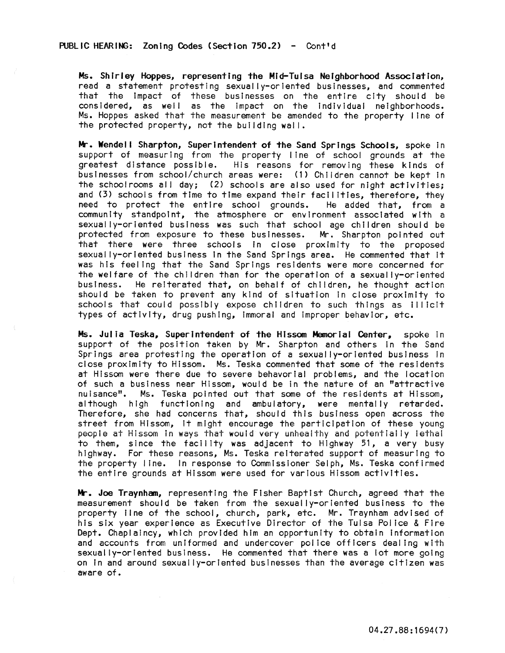Ms. Shirley Hoppes, representing the Mid-Tulsa Neighborhood Association, read a statement protesting sexually-oriented businesses, and commented that the impact of these businesses on the entire city should be considered, as well as the impact on the individual neighborhoods. Ms. Hoppes asked that the measurement be amended to the property line of the protected property, not the building wal I.

Mr. Wendell Sharpton, Superintendent of the Sand Springs Schools, spoke in support of measuring from the property line of school grounds at the greatest distance possible. His reasons for removing these kinds of businesses from school/church areas were: (1) Children cannot be kept In the schoolrooms all day; (2) schools are also used for night activities; and (3) schools from time to time expand their facilities, therefore, they need to protect the entire school grounds. He added that, from a need to protect the entire school grounds. community standpoint, the atmosphere or environment associated with a sexually-oriented business was such that school age children should be protected from exposure to these businesses. Mr. Sharpton pointed out that there were three schools In close proximity to the proposed sexually-oriented business In the Sand Springs area. He commented that It was his feeling that the Sand Springs residents were more concerned for the welfare of the children than for the operation of a sexually-oriented business. He reiterated that, on behalf of children, he thought action should be taken to prevent any kind of situation in close proximity to schools that could possibly expose children to such things as illicit types of activity, drug pushing, Immoral and Improper behavior, etc.

Ms. Julia Teska, Superintendent of the Hfssom Memorial Center, spoke in support of the position taken by Mr. Sharpton and others in the Sand Springs area protesting the operation of a sexually-oriented business in close proximity to Hlssom. Ms. Teska commented that some of the residents at Hlssom were there due to severe behavorlal problems, and the location of such a business near Hissom, would be in the nature of an "attractive nuisance". Ms. Teska pointed out that some of the residents at Hissom, although high functioning and ambulatory, were mentally retarded. Therefore, she had concerns that, should this business open across the street from Hlssom, It might encourage the participation of these young people at Hlssom In ways that would very unhealthy and potentially lethal to them, since the facility was adjacent to Highway 51, a very busy highway. For these reasons, Ms. Teska reiterated support of measuring to the property line. In response to Commissioner Selph, Ms. Teska confirmed the entire grounds at Hlssom were used for various Hissom activities.

Mr. Joe Traynham, representing the Fisher Baptist Church, agreed that the measurement should be taken from the sexually-oriented business to the property line of the school, church, park, etc. Mr. Traynham advised of his six year experience as Executive Director of the Tulsa Police & Fire Dept. Chaplaincy, which provided him an opportunity to obtain information and accounts from uniformed and undercover police officers dealing with sexually-oriented business. He commented that there was a lot more going on In and around sexually-oriented businesses than the average citizen was aware of.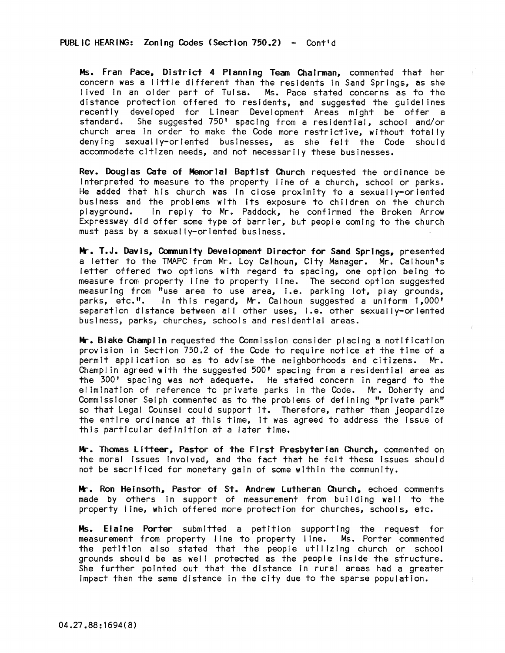PUBLIC HEARING: Zoning Codes (Section 750.2) - Cont'd

Ms. Fran Pace. District 4 Planning Team Chairman, commented that her concern was a little different than the residents In Sand Springs, as she lived in an older part of Tulsa. Ms. Pace stated concerns as to the distance protection offered to residents, and suggested the guidelines recently developed for Linear Development Areas might be offer a standard. She suggested 750' spacing from a residential, school and/or church area in order to make the Code more restrictive, without totally denying sexually-oriented businesses, as she felt the Code should accommodate citizen needs, and not necessarily these businesses.

Rev. Douglas Cate of Memorial Baptist Church requested the ordinance be Interpreted to measure to the property I ine of a church, school or parks. He added that his church was In close proximity to a sexually-oriented business and the problems with its exposure to children on the church<br>playground. In reply to Mr. Paddock, he confirmed the Broken Arrow In reply to Mr. Paddock, he confirmed the Broken Arrow Expressway did offer some type of barrier, but people coming to the church must pass by a sexually-oriented business.

Mr. T.J. Davis, Community Development Director for Sand Springs, presented a letter to the TMAPC from Mr. Loy Calhoun, City Manager. Mr. Calhoun's letter offered two options with regard to spacing, one option being to measure from property line to property line. The second option suggested measuring from "use area to use area, i.e. parking lot, play grounds, parks, etc.". In this regard. Mr. Calhoun suggested a uniform 1.000' In this regard, Mr. Calhoun suggested a uniform 1,000' separation distance between all other uses, I.e. other sexually-oriented business, parks, churches, schools and residential areas.

**Mr.** Blake Champlin requested the Commission consider placing a notification provision in Section 750.2 of the Code to require notice at the time of a permit application so as to advise the neighborhoods and citizens. Champl in agreed with the suggested 500' spacing from a residential area as the 300' spacing was not adequate. He stated concern in regard to the elimination of reference to private parks in the Code. Mr. Doherty and Commissioner Selph commented as to the problems of defining "private park" so that Legal Counsel could support It. Therefore, rather than jeopardize the entire ordinance at this time, it was agreed to address the issue of this particular definition at a later time.

Mr. Thomas Litteer, Pastor of the First Presbyterian Church, commented on the moral issues involved, and the fact that he felt these issues should not be sacrificed for monetary gain of some within the community.

Mr. Ron Heinsoth, Pastor of St. Andrew Lutheran Church, echoed comments made by others in support of measurement from building wall to the property I ine, which offered more protection for churches, schools, etc.

Ms. Elaine Porter submitted a petition supporting the request for measurement from property line to property line. Ms. Porter commented the petition also stated that the people utilizing church or school grounds should be as well protected as the people inside the structure. She further pointed out that the distance In rural areas had a greater Impact than the same distance In the city due to the sparse population.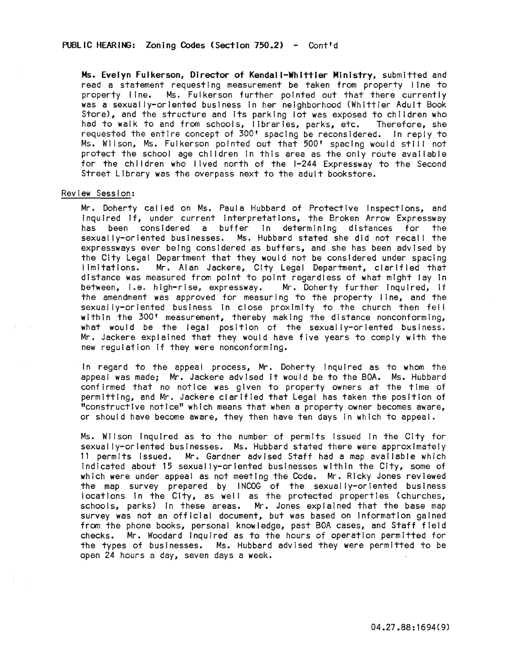Ms. Evelyn Fulkerson, Director of Kendall-Whittier Ministry, submitted and read a statement requesting measurement be taken from property line to property line. Ms. Fulkerson further pointed out that there currently was a sexually-oriented business In her neighborhood (Whittier Adult Book Store), and the structure and its parking lot was exposed to children who<br>had to walk to and from schools, libraries, parks, etc. Therefore, she had to walk to and from schools, libraries, parks, etc. requested the entire concept of 300' spacing be reconsidered. In reply to Ms. Wilson, Ms. Fulkerson pointed out that 500' spacing would still not protect the school age children In this area as the only route available for the children who lived north of the 1-244 Expressway to the Second Street Library was the overpass next to the adult bookstore.

# Review Session:

Mr. Doherty called on Ms. Paula Hubbard of Protective Inspections, and Inquired If, under current interpretations, the Broken Arrow Expressway<br>has been considered a buffer in determining distances for the has been considered a buffer<br>sexually-oriented-businesses. Ms. Ms. Hubbard stated she did not recall the expressways ever being considered as buffers, and she has been advised by the City Legal Department that they would not be considered under spacing limitations. Mr. Alan Jackere, City Legal Department, clarified that distance was measured from point to point regardless of what might lay In between, I.e. high-rise; expressway. Mr. Doherty further Inquired, If the amendment was approved for measuring to the property line, and the sexually-oriented business in close proximity to the church then fell with in the 300' measurement, thereby making the distance nonconforming, what would be the legal position of the sexually-oriented business. Mr. Jackere explained that they would have five years to comply with the new regulation if they were nonconforming.

In regard to the appeal process, Mr. Doherty inquired as to whom the appeal was made; Mr. Jackere advised It would be to the BOA. Ms. Hubbard confirmed that no notice was given to property owners at the time of permitting, and Mr. Jackere clarified that Legal has taken the position of "constructive notice" which means that when a property owner becomes aware, or should have become aware, they then have ten days in which to appeal.

Ms. Wilson inquired as to the number of permits issued in the City for sexually-oriented businesses. Ms. Hubbard stated there were approximately 11 permits issued. Mr. Gardner advised Staff had a map available which indicated about 15 sexually-oriented businesses within the City, some of which were under appeal as not meeting the Code. Mr. Ricky Jones reviewed the map survey prepared by INCOG of the sexually-oriented business locations in the City, as well as the protected properties (churches, schools, parks) in these areas. Mr. Jones explained that the base map survey was not an official document, but was based on information gained from the phone books, personal know/edge, past BOA cases, and Staff field checks. Mr. Woodard Inquired as to the hours of operation permitted for the types of businesses. Ms. Hubbard advised they were permitted to be open 24 hours a day, seven days a week.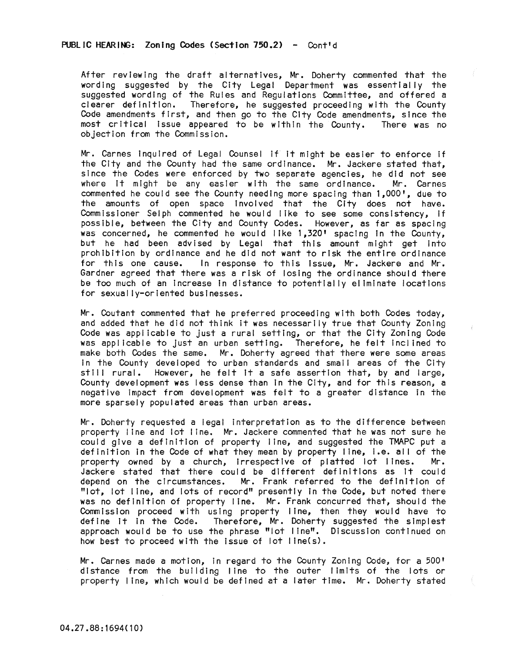After reviewing the draft alternatives, Mr. Doherty commented that the wording suggested by the City Legal Department was essentially the suggested wording of the Rules and Regulations Committee, and offered a clearer definition. Therefore, he suggested proceeding with the County Code amendments first, and then go to the City Code amendments, since the most critical Issue appeared to be within the County. There was no objection from the Commission.

Mr. Carnes Inquired of Legal Counsel If It might be easier to enforce If the City and the County had the same ordinance. Mr. Jackere stated that, since the Codes were enforced by two separate agencies, he did not see<br>where it might be any easier with the same ordinance. Mr. Carnes where it might be any easier with the same ordinance. commented he could see the County needing more spacing than 1,000', due to the amounts of open space Involved that the City does not have. Comm issioner Selph commented he would like to see some consistency, if possible, between the City and County Codes. However, as far as spacing was concerned, he commented he would like 1,320' spacing in the County, but he had been advised by Legal that this amount might get Into prohibition by ordinance and he did not want to risk the entire ordinance<br>for this one cause. In response to this issue. Mr. Jackere and Mr. In response to this issue, Mr. Jackere and Mr. Gardner agreed that there was a risk of losing the ordinance should there be too much of an Increase In distance to potentially eliminate locations for sexually-oriented businesses.

Mr. Coutant commented that he preferred proceeding with both Codes today, and added that he did not think it was necessarily true that County Zoning Code was applicable to just a rural setting, or that the City Zoning Code was applicable to just an urban setting. Therefore, he felt Inclined to make both Codes the same. Mr. Doherty agreed that there were some areas In the County developed to urban standards and small areas of the City stili rural. However, he felt It a safe assertion that, by and large, County development was less dense than In the City, and for this reason, a negative impact from development was felt to a greater distance in the more sparsely populated areas than urban areas.

Mr. Doherty requested a legal Interpretation as to the difference between property line and lot line. Mr. Jackere commented that he was not sure he could give a definition of property line, and suggested the TMAPC put a definition in the Code of what they mean by property line, i.e. all of the property owned by a church. irrespective of platted lot lines. Mr. property owned by a church, irrespective of platted lot lines. Jackere stated that there could be different definitions as it could depend on the circumstances. Mr. Frank referred to the definition of "lot, lot line, and lots of record" presently In the Code, but noted there was no definition of property line. Mr. Frank concurred that, should the Commission proceed with using property line, then they would have to define it in the Code. Therefore, Mr. Doherty suggested the simplest approach would be to use the phrase "lot line". Discussion continued on how best to proceed with the issue of lot Ilne(s).

Mr. Carnes made a motion, In regard to the County Zoning Code, for a 500' distance from the building line to the outer limits of the lots or property line, which would be defined at a later time. Mr. Doherty stated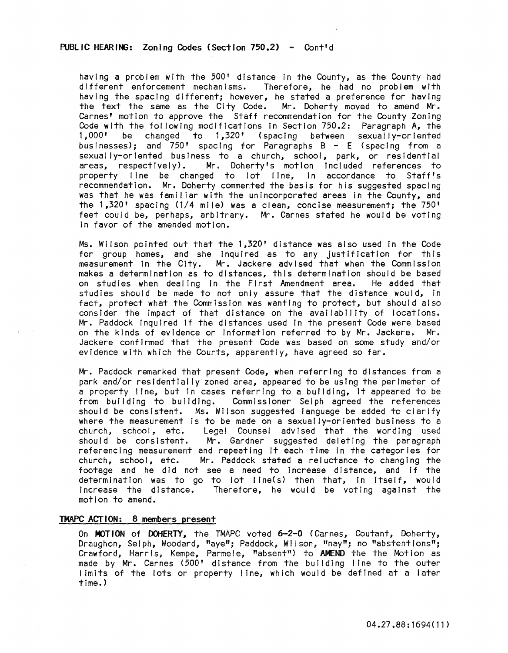# PUBLIC HEARING: Zoning Codes (Section 750.2) - Cont'd

having a problem with the 500' distance In the County, as the County had different enforcement mechanisms. Therefore, he had no problem with having the spacing dIfferent; however, he stated a preference for having the text the same as the City Code. Mr. Doherty moved to amend Mr. Carnes' motion to approve the Staff recommendation for the County Zoning Code with the following modifications in Section 750.2: Paragraph A, the 1,000' be changed to 1,320' (spacing between sexually-oriented businesses); and 750' spacing for Paragraphs B - E (spacing from a sexually-oriented business to a church, school, park, or residential areas, respectively). Mr. Doherty's motion Included references to property line be changed to lot line, In accordance to Staff's recommendatIon. Mr. Doherty commented the basis for his suggested spacing was that he was familiar with the unincorporated areas in the County, and the 1,320' spacing (1/4 mile) was a clean, concise measurement; the 750' feet could be, perhaps, arbitrary. Mr. Carnes stated he would be voting In favor of the amended motion.

Ms. Wilson pointed out that the 1,320' distance was also used In the Code for group homes, and she inquired as to any justification for this measurement in the City. Mr. Jackere advised that when the Commission makes a determination as to distances, this determination should be based on studies when dealing in the First Amendment area. He added that studies should be made to not only assure that the distance would, in fact, protect what the Commission was wanting to protect, but should also consider the impact of that distance on the availability of locations. Mr. Paddock Inquired If the distances used In the present Code were based on the kinds of evidence or Information referred to by Mr. Jackere. Mr. Jackere confirmed that the present Code was based on some study and/or evidence with which the Courts, apparently, have agreed so far.

Mr. Paddock remarked that present Code, when referring to distances from a park and/or residentially zoned area, appeared to be using the perimeter of a property line, but In cases referring to a building, it appeared to be from building to building. Commissioner Selph agreed the references should be consistent. Ms. Wilson suggested language be added to clarify where the measurement is to be made on a sexually-oriented business to a church, school, etc. Legal Counsel advIsed that the wording used should be consistent. Mr. Gardner suggested deleting the paragraph referenCing measurement and repeating It each time In the categories for church, school, etc. Mr. Paddock stated a rei uctance to changing the footage and he did not see a need to increase distance, and if the determination was to go to lot Ilne(s) then that, In Itself, would Increase the distance. Therefore, he would be voting against the motion to amend.

# TMAPC ACT ION: 8 members present

On MOTION of DOHERTY, the TMAPC voted 6-2-0 (Carnes, Coutant, Doherty, Draughon, Selph, Woodard, "aye"; Paddock, Wilson, "nay"; no "abstentions"; Crawford, Harris, Kempe, Parmele, "absent") to AMEND the the Motion as made by Mr. Carnes (500' distance from the building line to the outer I imits of the lots or property line, which would be defined at a later time. )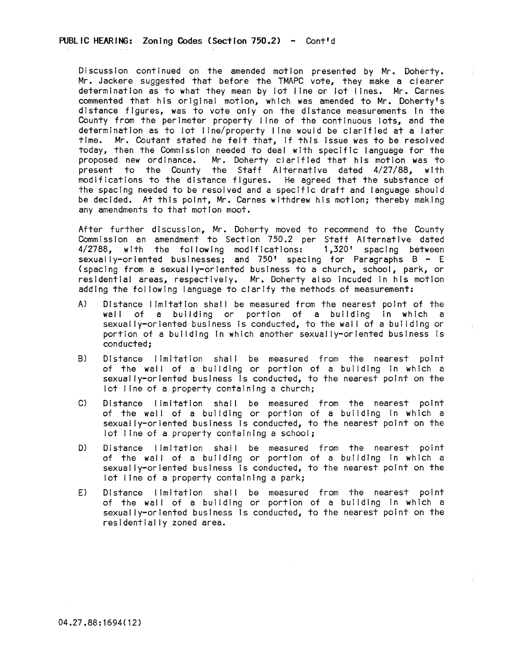Discussion continued on the amended motion presented by Mr. Doherty. Mr. Jackere suggested that before the TMAPC vote, they make a clearer determination as to what they mean by lot line or Jot Jines. Mr. Carnes commented that his original motion, which was amended to Mr. Doherty's distance figures, was to vote only on the distance measurements in the County from the perimeter property line of the continuous lots, and the determination as to lot line/property line would be clarified at a later time. Mr. Coutant stated he felt that, If this Issue was to be resolved today, then the Commission needed to deal with specific language for the proposed new ordinance. Mr. Doherty clarified that his motion was to .<br>present to the County the Staff Alternative dated 4/27/88, with modifications to the distance figures. He agreed that the substance of the spacing needed to be resolved and a specific draft and language should be decided. At this point, Mr. Carnes withdrew his motion; thereby making any amendments to that motion moot.

After further discussion, Mr. Doherty moved to recommend to the County Commission an amendment to Section 750.2 per Staff Alternative dated 4/2788, with the fol lowing modifications: 1,320' spacing between sexually-oriented businesses; and  $750'$  spacing for Paragraphs B - E (spacing from a sexually-oriented business to a church, school, park, or residential areas, respectively. Mr. Doherty also incuded in his motion adding the fol lowing language to clarify the methods of measurement:

- A) Distance I Imitation shall be measured from the nearest point of the wall of a building or portion of a building In which a sexually-oriented business is conducted, to the wall of a building or portion of a building In which another sexually-oriented business is conducted;
- B) Distance limitation shall be measured from the nearest point of the wall of a building or portion of a building in which a sexually-oriented business is conducted, to the nearest point on the lot line of a property containing a church;
- C) Distance limitation shall be measured from the nearest point of the wall of a building or portion of a building in which a sexually-oriented business is conducted, to the nearest point on the lot line of a property containing a school;
- D) Distance limitation shall be measured from the nearest point of the wall of a buIlding or portion of a building in which a sexually-oriented business is conducted, to the nearest point on the lot line of a property containing a park;
- E) Distance limitation shall be measured from the nearest point of the wall of a building or portion of a building in which a sexually-oriented business Is conducted, to the nearest point on the residentially zoned area.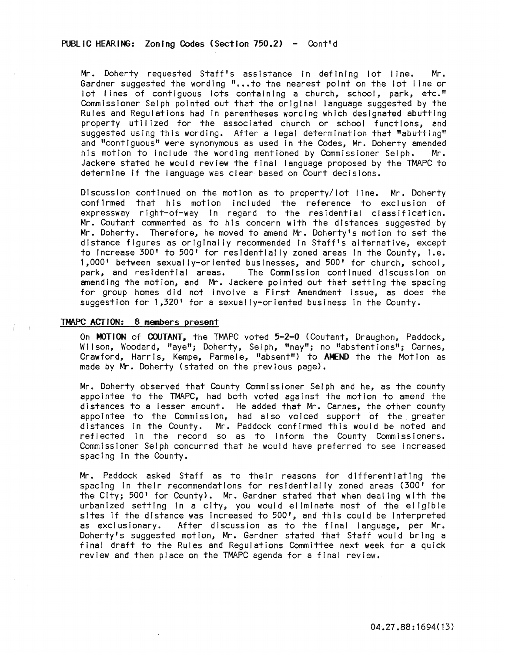# PUBLIC HEARING: Zoning Codes (Section 750.2) - Cont'd

Mr. Doherty requested Staff's assistance In defining lot I lne. Mr. Gardner suggested the wording "...to the nearest point on the lot line or lot lines of contiguous lots containing a church, school, park, etc." Commissioner Selph pointed out that the original language suggested by the Rules and Regulations had In parentheses wording which designated abutting property utilized for the associated church or school functions, and suggested using this wording. After a legal determination that "abutting" and "contiguous" were synonymous as used in the Codes, Mr. Doherty amended<br>his motion to include the wording mentioned by Commissioner Selph. Mr. his motion to include the wording mentioned by Commissioner Selph. Jackere stated he would review the final language proposed by the TMAPC to determine If the language was clear based on Court decisions.

Discussion continued on the motion as to property/lot line. Mr. Doherty confirmed that his motion Included the reference to exclusion of expressway right-of-way in regard to the residential classification. Mr. Coutant commented as to his concern with the distances suggested by Mr. Doherty. Therefore, he moved to amend Mr. Doherty's motion to set the distance figures as originally recommended In Staff's alternative, except to Increase 300' to 500' for residentially zoned areas In the County, I.e. 1,000' between sexually-oriented businesses, and 500' for church, school,<br>park, and residential areas. The Commission continued discussion on The Commission continued discussion on amending the motion, and Mr. Jackere pointed out that setting the spacing for group homes did not involve a First Amendment issue, as does the suggestion for 1,320' for a sexually-oriented business In the County.

### TMAPC ACT ION: 8 members present

On MOTION of COUTANT, the TMAPC voted 5-2-0 (Coutant, Draughon, Paddock, Wilson, Woodard, "aye"; Doherty, Selph, "nay"; no "abstentions"; Carnes, Crawford, Harris, Kempe, Parmele, "absent") to AMEND the the Motion as made by Mr. Doherty (stated on the previous page).

Mr. Doherty observed that County Commissioner Selph and he, as the county appointee to the TMAPC, had both voted against the motion to amend the distances to a lesser amount. He added that Mr. Carnes, the other county appointee to the Commission, had also voiced support of the greater distances in the County. Mr. Paddock confirmed this would be noted and reflected In the record so as to Inform the County Commissioners. Commissioner Selph concurred that he would have preferred to see increased spacing In the County.

Mr. Paddock asked Staff as to their reasons for differentiating the spacing In their recommendations for residentially zoned areas (300' for the City; 500' for County). Mr. Gardner stated that when dealing with the urbanized setting In a city, you would eliminate most of the eligible sites if the distance was increased to 500', and this could be interpreted<br>as exclusionary. After discussion as to the final language, per Mr. After discussion as to the final language, per Mr. Doherty's suggested motion, Mr. Gardner stated that Staff would bring a final draft to the Rules and Regulations Committee next week for a quick review and then place on the TMAPC agenda for a final review.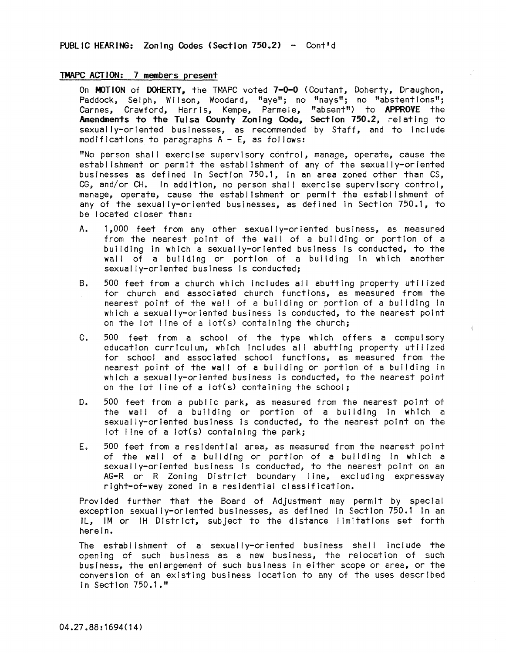# TMAPC ACTION: 7 members present

On MOTION of DOHERTY. the TMAPC voted 7-0-0 (Coutant, Doherty, Draughon, Paddock, Selph, Wilson, Woodard, "aye"; no "nays"; no "abstentions"; Carnes, Crawford, Harris, Kempe, Parmele, "absent") to APPROVE the Amendments to the Tulsa County Zoning Code, Section 750.2, relating to sexually-oriented businesses, as recommended by Staff, and to include modifications to paragraphs  $A - E$ , as follows:

"No person shall exercise supervisory control, manage, operate, cause the establishment or permit the establishment of any of the sexually-oriented businesses as defined in Section 750.1, in an area zoned other than CS, CG, and/or CH. In addition, no person shall exercise supervisory control, manage, operate, cause the establishment or permit the establishment of any of the sexually-oriented businesses, as defined in Section 750.1, to be located closer than:

- A. 1,000 feet from any other sexually-oriented business, as measured from the nearest point of the wall of a building or portion of a building in which a sexually-oriented business Is conducted, to the wall of a building or portion of a building in which another sexually-oriented business is conducted;
- B. 500 feet from a church which includes all abutting property utilized for church and associated church functions, as measured from the nearest point of the wall of a building or portion of a building in which a sexually-oriented business is conducted, to the nearest point on the lot line of a lot(s) containing the church;
- C. 500 feet from a school of the type which offers a compulsory education curriculum, which includes all abutting property utilized for school and associated school functions, as measured from the nearest point of the wall of a building or portion of a building in which a sexually-oriented business is conducted, to the nearest point on the lot line of a lot(s) containing the school;
- D. 500 feet from a public park, as measured from the nearest point of the wall of a building or portion of a building in which a sexually-oriented business Is conducted, to the nearest point on the lot line of a lot(s) containing the park;
- E. 500 feet from a residential area, as measured from the nearest point of the wall of a building or portion of a building In which a sexually-oriented business is conducted, to the nearest point on an AG-R or R Zoning District boundary I ine, excluding expressway right-of-way zoned In a residential classification.

Provided further that the Board of Adjustment may permit by special exception sexually-oriented businesses, as defined In Section 750.1 In an IL, 1M or IH District, subject to the distance I imitations set forth herein.

The establishment of a sexually-oriented business shall include the opening of such business as a new business, the relocation of such business, the enlargement of such business In either scope or area, or the conversion of an existing business location to any of the uses described In Section 750.1."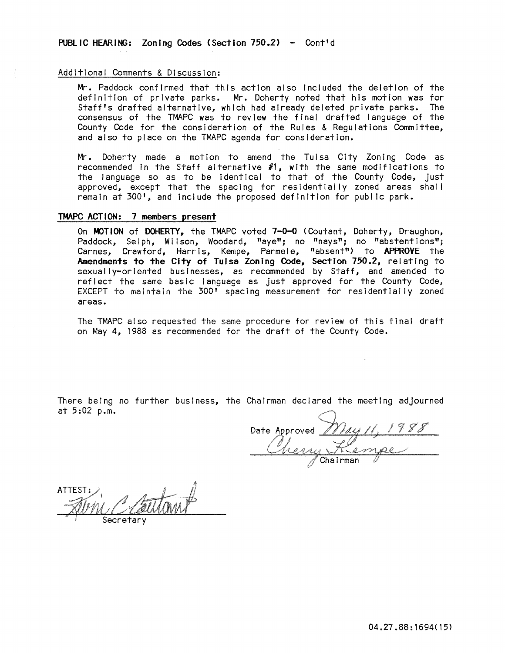# Additional Comments & Discussion:

Mr. Paddock confirmed that this action also Included the deletion of the definition of private parks. Mr. Doherty noted that his motion was for Staff's drafted alternative, which had already deleted private parks. The consensus of the TMAPC was to review the final drafted language of the County Code for the consideration of the Rules & Regulations Committee, and also to place on the TMAPC agenda for consideration.

Mr. Doherty made a motion to amend the Tulsa City Zoning Code as recommended In the Staff alternative #1, with the same modifications to the language so as to be identical to that of the County Code, just approved, except that the spacing for residentially zoned areas shall remain at 300', and include the proposed definition for public park.

# TMAPC ACTION: 7 members present

On MOTION of DOHERTY, the TMAPC voted 7-0-0 (Coutant, Doherty, Draughon, Paddock, Selph, Wilson, Woodard, "aye"; no "nays"; no "abstentions"; Carnes, Crawford, Harris, Kempe, Parmele, "absent") to APPROVE the Amendments to the City of Tulsa Zoning Code, Section 750.2, relating to sexually-oriented businesses, as recommended by Staff, and amended to reflect the same basic language as just approved for the County Code, EXCEPT to maintain the 300<sup>t</sup> spacing measurement for residentially zoned areas.

The TMAPC also requested the same procedure for review of this final draft on May 4, 1988 as recommended for the draft of the County Code.

There being no further business, the ChaIrman declared the meeting adjourned at  $5:02$  p.m.

Date Approved May 11, 1988

ATTEST: Secretary